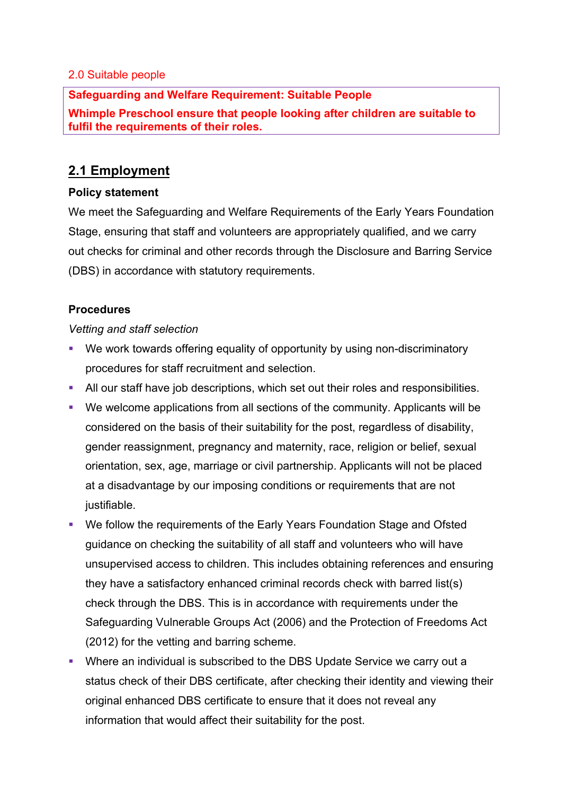#### 2.0 Suitable people

### **Safeguarding and Welfare Requirement: Suitable People**

**Whimple Preschool ensure that people looking after children are suitable to fulfil the requirements of their roles.**

# **2.1 Employment**

### **Policy statement**

We meet the Safeguarding and Welfare Requirements of the Early Years Foundation Stage, ensuring that staff and volunteers are appropriately qualified, and we carry out checks for criminal and other records through the Disclosure and Barring Service (DBS) in accordance with statutory requirements.

# **Procedures**

#### *Vetting and staff selection*

- We work towards offering equality of opportunity by using non-discriminatory procedures for staff recruitment and selection.
- All our staff have job descriptions, which set out their roles and responsibilities.
- § We welcome applications from all sections of the community. Applicants will be considered on the basis of their suitability for the post, regardless of disability, gender reassignment, pregnancy and maternity, race, religion or belief, sexual orientation, sex, age, marriage or civil partnership. Applicants will not be placed at a disadvantage by our imposing conditions or requirements that are not justifiable.
- We follow the requirements of the Early Years Foundation Stage and Ofsted guidance on checking the suitability of all staff and volunteers who will have unsupervised access to children. This includes obtaining references and ensuring they have a satisfactory enhanced criminal records check with barred list(s) check through the DBS. This is in accordance with requirements under the Safeguarding Vulnerable Groups Act (2006) and the Protection of Freedoms Act (2012) for the vetting and barring scheme.
- Where an individual is subscribed to the DBS Update Service we carry out a status check of their DBS certificate, after checking their identity and viewing their original enhanced DBS certificate to ensure that it does not reveal any information that would affect their suitability for the post.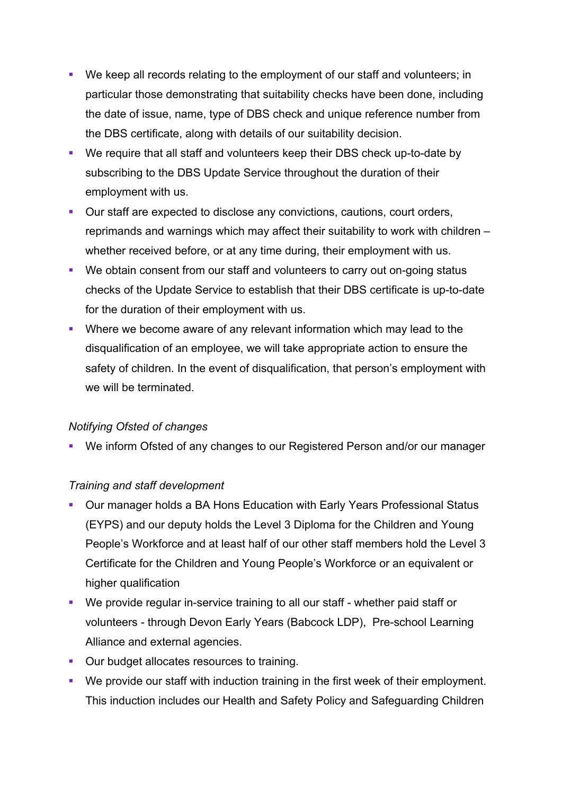- We keep all records relating to the employment of our staff and volunteers; in particular those demonstrating that suitability checks have been done, including the date of issue, name, type of DBS check and unique reference number from the DBS certificate, along with details of our suitability decision.
- We require that all staff and volunteers keep their DBS check up-to-date by subscribing to the DBS Update Service throughout the duration of their employment with us.
- Our staff are expected to disclose any convictions, cautions, court orders, reprimands and warnings which may affect their suitability to work with children – whether received before, or at any time during, their employment with us.
- We obtain consent from our staff and volunteers to carry out on-going status checks of the Update Service to establish that their DBS certificate is up-to-date for the duration of their employment with us.
- Where we become aware of any relevant information which may lead to the disqualification of an employee, we will take appropriate action to ensure the safety of children. In the event of disqualification, that person's employment with we will be terminated.

#### *Notifying Ofsted of changes*

■ We inform Ofsted of any changes to our Registered Person and/or our manager

#### *Training and staff development*

- Our manager holds a BA Hons Education with Early Years Professional Status (EYPS) and our deputy holds the Level 3 Diploma for the Children and Young People's Workforce and at least half of our other staff members hold the Level 3 Certificate for the Children and Young People's Workforce or an equivalent or higher qualification
- We provide regular in-service training to all our staff whether paid staff or volunteers - through Devon Early Years (Babcock LDP), Pre-school Learning Alliance and external agencies.
- Our budget allocates resources to training.
- We provide our staff with induction training in the first week of their employment. This induction includes our Health and Safety Policy and Safeguarding Children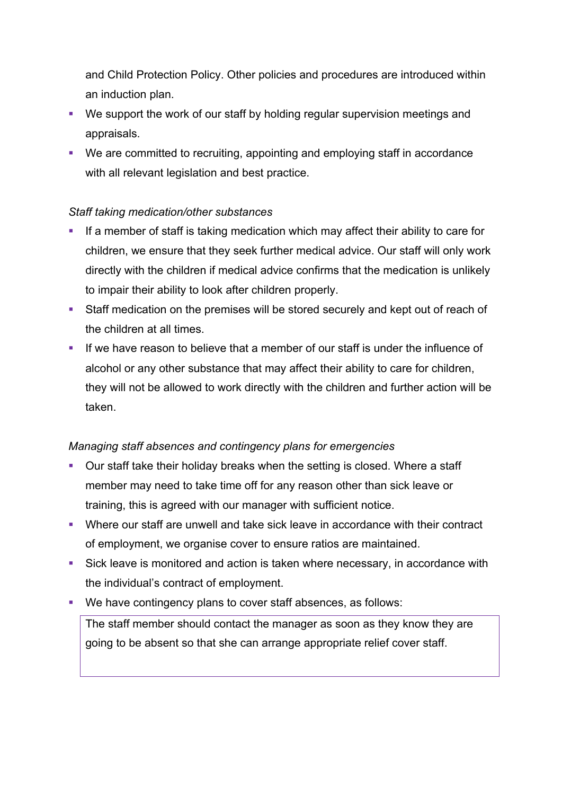and Child Protection Policy. Other policies and procedures are introduced within an induction plan.

- We support the work of our staff by holding regular supervision meetings and appraisals.
- We are committed to recruiting, appointing and employing staff in accordance with all relevant legislation and best practice.

# *Staff taking medication/other substances*

- If a member of staff is taking medication which may affect their ability to care for children, we ensure that they seek further medical advice. Our staff will only work directly with the children if medical advice confirms that the medication is unlikely to impair their ability to look after children properly.
- Staff medication on the premises will be stored securely and kept out of reach of the children at all times.
- If we have reason to believe that a member of our staff is under the influence of alcohol or any other substance that may affect their ability to care for children, they will not be allowed to work directly with the children and further action will be taken.

#### *Managing staff absences and contingency plans for emergencies*

- § Our staff take their holiday breaks when the setting is closed. Where a staff member may need to take time off for any reason other than sick leave or training, this is agreed with our manager with sufficient notice.
- Where our staff are unwell and take sick leave in accordance with their contract of employment, we organise cover to ensure ratios are maintained.
- Sick leave is monitored and action is taken where necessary, in accordance with the individual's contract of employment.
- We have contingency plans to cover staff absences, as follows:

The staff member should contact the manager as soon as they know they are going to be absent so that she can arrange appropriate relief cover staff.